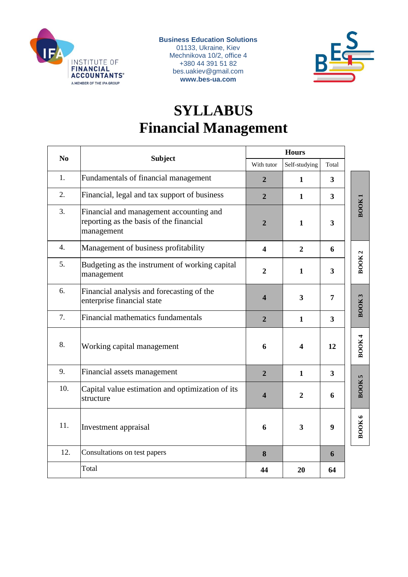

**Business Education Solutions** 01133, Ukraine, Kiev Mechnikova 10/2, office 4 +380 44 391 51 82 bes.uakiev@gmail.com **www.bes-ua.com**



# **SYLLABUS Financial Management**

| N <sub>o</sub>   | <b>Subject</b>                                                                                   | <b>Hours</b>            |                         |                         |              |
|------------------|--------------------------------------------------------------------------------------------------|-------------------------|-------------------------|-------------------------|--------------|
|                  |                                                                                                  | With tutor              | Self-studying           | Total                   |              |
| 1.               | Fundamentals of financial management                                                             | 2                       | 1                       | 3                       |              |
| 2.               | Financial, legal and tax support of business                                                     | $\overline{2}$          | $\mathbf{1}$            | $\mathbf{3}$            |              |
| 3.               | Financial and management accounting and<br>reporting as the basis of the financial<br>management | $\overline{2}$          | $\mathbf{1}$            | $\overline{\mathbf{3}}$ | BOOK         |
| $\overline{4}$ . | Management of business profitability                                                             | $\overline{\mathbf{4}}$ | $\overline{2}$          | 6                       |              |
| 5.               | Budgeting as the instrument of working capital<br>management                                     | $\overline{2}$          | $\mathbf{1}$            | $\mathbf{3}$            | <b>BOOK2</b> |
| 6.               | Financial analysis and forecasting of the<br>enterprise financial state                          | $\overline{\mathbf{4}}$ | $\overline{\mathbf{3}}$ | $\overline{7}$          | BOOK3        |
| 7.               | Financial mathematics fundamentals                                                               | $\overline{2}$          | $\mathbf{1}$            | $\mathbf{3}$            |              |
| 8.               | Working capital management                                                                       | 6                       | $\overline{\mathbf{4}}$ | 12                      | <b>BOOK4</b> |
| 9.               | Financial assets management                                                                      | $\overline{2}$          | $\mathbf{1}$            | $\mathbf{3}$            |              |
| 10.              | Capital value estimation and optimization of its<br>structure                                    | $\boldsymbol{4}$        | $\overline{2}$          | 6                       | BOOK5        |
| 11.              | Investment appraisal                                                                             | 6                       | 3                       | 9                       | <b>BOOK6</b> |
| 12.              | Consultations on test papers                                                                     | 8                       |                         | 6                       |              |
|                  | Total                                                                                            | 44                      | 20                      | 64                      |              |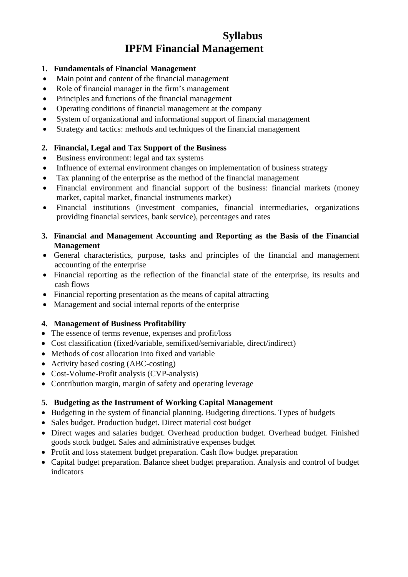# **Syllabus IPFM Financial Management**

#### **1. Fundamentals of Financial Management**

- Main point and content of the financial management
- Role of financial manager in the firm's management
- Principles and functions of the financial management
- Operating conditions of financial management at the company
- System of organizational and informational support of financial management
- Strategy and tactics: methods and techniques of the financial management

#### **2. Financial, Legal and Tax Support of the Business**

- Business environment: legal and tax systems
- Influence of external environment changes on implementation of business strategy
- Tax planning of the enterprise as the method of the financial management
- Financial environment and financial support of the business: financial markets (money market, capital market, financial instruments market)
- Financial institutions (investment companies, financial intermediaries, organizations providing financial services, bank service), percentages and rates
- **3. Financial and Management Accounting and Reporting as the Basis of the Financial Management**
- General characteristics, purpose, tasks and principles of the financial and management accounting of the enterprise
- Financial reporting as the reflection of the financial state of the enterprise, its results and cash flows
- Financial reporting presentation as the means of capital attracting
- Management and social internal reports of the enterprise

#### **4. Management of Business Profitability**

- The essence of terms revenue, expenses and profit/loss
- Cost classification (fixed/variable, semifixed/semivariable, direct/indirect)
- Methods of cost allocation into fixed and variable
- Activity based costing (ABC-costing)
- Cost-Volume-Profit analysis (CVP-analysis)
- Contribution margin, margin of safety and operating leverage

#### **5. Budgeting as the Instrument of Working Capital Management**

- Budgeting in the system of financial planning. Budgeting directions. Types of budgets
- Sales budget. Production budget. Direct material cost budget
- Direct wages and salaries budget. Overhead production budget. Overhead budget. Finished goods stock budget. Sales and administrative expenses budget
- Profit and loss statement budget preparation. Cash flow budget preparation
- Capital budget preparation. Balance sheet budget preparation. Analysis and control of budget indicators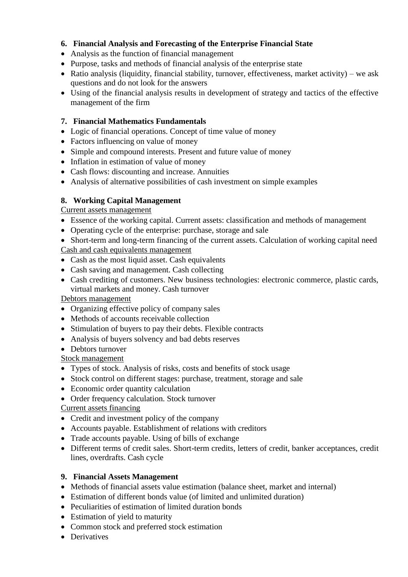# **6. Financial Analysis and Forecasting of the Enterprise Financial State**

- Analysis as the function of financial management
- Purpose, tasks and methods of financial analysis of the enterprise state
- Ratio analysis (liquidity, financial stability, turnover, effectiveness, market activity) we ask questions and do not look for the answers
- Using of the financial analysis results in development of strategy and tactics of the effective management of the firm

# **7. Financial Mathematics Fundamentals**

- Logic of financial operations. Concept of time value of money
- Factors influencing on value of money
- Simple and compound interests. Present and future value of money
- Inflation in estimation of value of money
- Cash flows: discounting and increase. Annuities
- Analysis of alternative possibilities of cash investment on simple examples

# **8. Working Capital Management**

Current assets management

- Essence of the working capital. Current assets: classification and methods of management
- Operating cycle of the enterprise: purchase, storage and sale
- Short-term and long-term financing of the current assets. Calculation of working capital need Cash and cash equivalents management
- Cash as the most liquid asset. Cash equivalents
- Cash saving and management. Cash collecting
- Cash crediting of customers. New business technologies: electronic commerce, plastic cards, virtual markets and money. Cash turnover

# Debtors management

- Organizing effective policy of company sales
- Methods of accounts receivable collection
- Stimulation of buyers to pay their debts. Flexible contracts
- Analysis of buyers solvency and bad debts reserves

#### • Debtors turnover

Stock management

- Types of stock. Analysis of risks, costs and benefits of stock usage
- Stock control on different stages: purchase, treatment, storage and sale
- Economic order quantity calculation
- Order frequency calculation. Stock turnover

# Current assets financing

- Credit and investment policy of the company
- Accounts payable. Establishment of relations with creditors
- Trade accounts payable. Using of bills of exchange
- Different terms of credit sales. Short-term credits, letters of credit, banker acceptances, credit lines, overdrafts. Cash cycle

# **9. Financial Assets Management**

- Methods of financial assets value estimation (balance sheet, market and internal)
- Estimation of different bonds value (of limited and unlimited duration)
- Peculiarities of estimation of limited duration bonds
- Estimation of yield to maturity
- Common stock and preferred stock estimation
- Derivatives